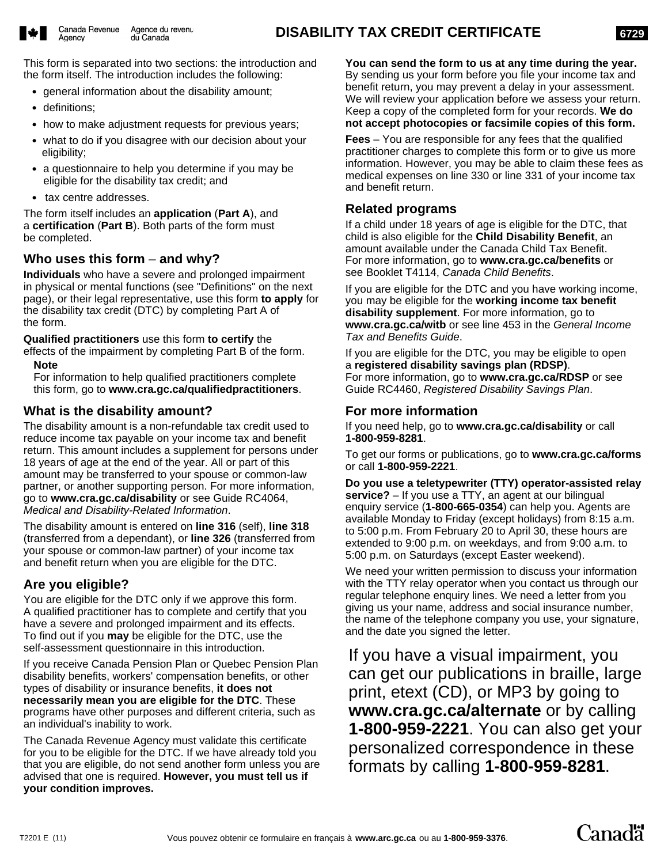**6729**

This form is separated into two sections: the introduction and the form itself. The introduction includes the following:

- $\bullet$ general information about the disability amount;
- definitions;
- how to make adjustment requests for previous years;
- what to do if you disagree with our decision about your eligibility;
- a questionnaire to help you determine if you may be eligible for the disability tax credit; and
- tax centre addresses.

The form itself includes an **application** (**Part A**), and a **certification** (**Part B**). Both parts of the form must be completed.

## **Who uses this form** – **and why?**

**Individuals** who have a severe and prolonged impairment in physical or mental functions (see "Definitions" on the next page), or their legal representative, use this form **to apply** for the disability tax credit (DTC) by completing Part A of the form.

**Qualified practitioners** use this form **to certify** the effects of the impairment by completing Part B of the form.

#### **Note**

For information to help qualified practitioners complete this form, go to **www.cra.gc.ca/qualifiedpractitioners**.

## **What is the disability amount?**

The disability amount is a non-refundable tax credit used to reduce income tax payable on your income tax and benefit return. This amount includes a supplement for persons under 18 years of age at the end of the year. All or part of this amount may be transferred to your spouse or common-law partner, or another supporting person. For more information, go to **www.cra.gc.ca/disability** or see Guide RC4064, *Medical and Disability-Related Information*.

The disability amount is entered on **line 316** (self), **line 318** (transferred from a dependant), or **line 326** (transferred from your spouse or common-law partner) of your income tax and benefit return when you are eligible for the DTC.

## **Are you eligible?**

You are eligible for the DTC only if we approve this form. A qualified practitioner has to complete and certify that you have a severe and prolonged impairment and its effects. To find out if you **may** be eligible for the DTC, use the self-assessment questionnaire in this introduction.

If you receive Canada Pension Plan or Quebec Pension Plan disability benefits, workers' compensation benefits, or other types of disability or insurance benefits, **it does not necessarily mean you are eligible for the DTC**. These programs have other purposes and different criteria, such as an individual's inability to work.

The Canada Revenue Agency must validate this certificate for you to be eligible for the DTC. If we have already told you that you are eligible, do not send another form unless you are advised that one is required. **However, you must tell us if your condition improves.**

**You can send the form to us at any time during the year.** By sending us your form before you file your income tax and benefit return, you may prevent a delay in your assessment. We will review your application before we assess your return. Keep a copy of the completed form for your records. **We do not accept photocopies or facsimile copies of this form.** 

**Fees** – You are responsible for any fees that the qualified practitioner charges to complete this form or to give us more information. However, you may be able to claim these fees as medical expenses on line 330 or line 331 of your income tax and benefit return.

## **Related programs**

If a child under 18 years of age is eligible for the DTC, that child is also eligible for the **Child Disability Benefit**, an amount available under the Canada Child Tax Benefit. For more information, go to **www.cra.gc.ca/benefits** or see Booklet T4114, *Canada Child Benefits*.

If you are eligible for the DTC and you have working income, you may be eligible for the **working income tax benefit disability supplement**. For more information, go to **www.cra.gc.ca/witb** or see line 453 in the *General Income Tax and Benefits Guide*.

If you are eligible for the DTC, you may be eligible to open a **registered disability savings plan (RDSP)**. For more information, go to **www.cra.gc.ca/RDSP** or see Guide RC4460, *Registered Disability Savings Plan*.

## **For more information**

If you need help, go to **www.cra.gc.ca/disability** or call **1-800-959-8281**.

To get our forms or publications, go to **www.cra.gc.ca/forms** or call **1-800-959-2221**.

**Do you use a teletypewriter (TTY) operator-assisted relay service?** – If you use a TTY, an agent at our bilingual enquiry service (**1-800-665-0354**) can help you. Agents are available Monday to Friday (except holidays) from 8:15 a.m. to 5:00 p.m. From February 20 to April 30, these hours are extended to 9:00 p.m. on weekdays, and from 9:00 a.m. to 5:00 p.m. on Saturdays (except Easter weekend).

We need your written permission to discuss your information with the TTY relay operator when you contact us through our regular telephone enquiry lines. We need a letter from you giving us your name, address and social insurance number, the name of the telephone company you use, your signature, and the date you signed the letter.

If you have a visual impairment, you can get our publications in braille, large print, etext (CD), or MP3 by going to **www.cra.gc.ca/alternate** or by calling **1-800-959-2221**. You can also get your personalized correspondence in these formats by calling **1-800-959-8281**.

Canadä<sup>r</sup>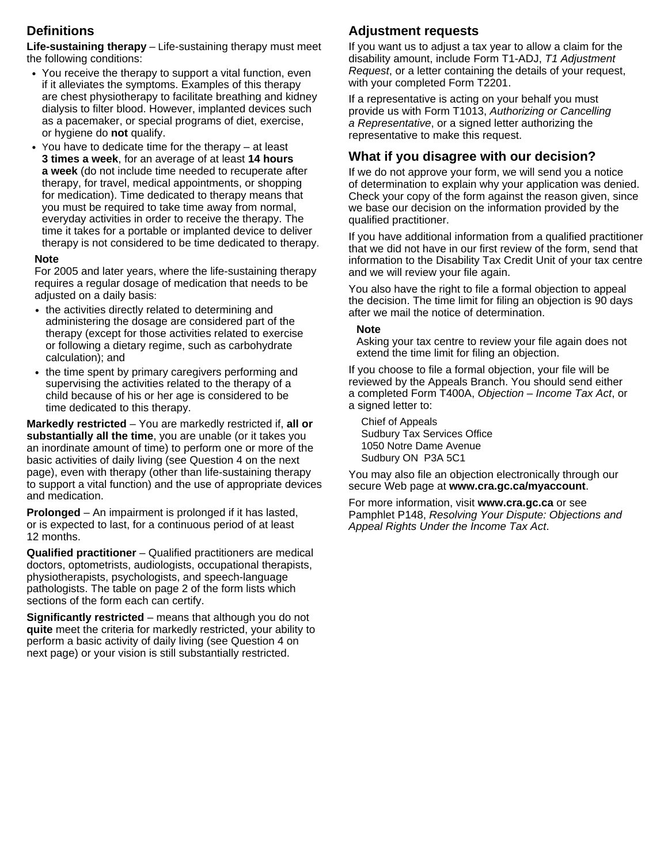## **Definitions**

**Life-sustaining therapy** *–* Life-sustaining therapy must meet the following conditions:

- You receive the therapy to support a vital function, even if it alleviates the symptoms. Examples of this therapy are chest physiotherapy to facilitate breathing and kidney dialysis to filter blood. However, implanted devices such as a pacemaker, or special programs of diet, exercise, or hygiene do **not** qualify.
- You have to dedicate time for the therapy at least **3 times a week**, for an average of at least **14 hours a week** (do not include time needed to recuperate after therapy, for travel, medical appointments, or shopping for medication). Time dedicated to therapy means that you must be required to take time away from normal, everyday activities in order to receive the therapy. The time it takes for a portable or implanted device to deliver therapy is not considered to be time dedicated to therapy.

#### **Note**

For 2005 and later years, where the life-sustaining therapy requires a regular dosage of medication that needs to be adjusted on a daily basis:

- the activities directly related to determining and administering the dosage are considered part of the therapy (except for those activities related to exercise or following a dietary regime, such as carbohydrate calculation); and
- the time spent by primary caregivers performing and supervising the activities related to the therapy of a child because of his or her age is considered to be time dedicated to this therapy.

**Markedly restricted** – You are markedly restricted if, **all or substantially all the time**, you are unable (or it takes you an inordinate amount of time) to perform one or more of the basic activities of daily living (see Question 4 on the next page), even with therapy (other than life-sustaining therapy to support a vital function) and the use of appropriate devices and medication.

**Prolonged** – An impairment is prolonged if it has lasted, or is expected to last, for a continuous period of at least 12 months.

**Qualified practitioner** – Qualified practitioners are medical doctors, optometrists, audiologists, occupational therapists, physiotherapists, psychologists, and speech-language pathologists. The table on page 2 of the form lists which sections of the form each can certify.

**Significantly restricted** – means that although you do not **quite** meet the criteria for markedly restricted, your ability to perform a basic activity of daily living (see Question 4 on next page) or your vision is still substantially restricted.

# **Adjustment requests**

If you want us to adjust a tax year to allow a claim for the disability amount, include Form T1-ADJ, *T1 Adjustment Request*, or a letter containing the details of your request, with your completed Form T2201.

If a representative is acting on your behalf you must provide us with Form T1013, *Authorizing or Cancelling a Representative*, or a signed letter authorizing the representative to make this request.

## **What if you disagree with our decision?**

If we do not approve your form, we will send you a notice of determination to explain why your application was denied. Check your copy of the form against the reason given, since we base our decision on the information provided by the qualified practitioner.

If you have additional information from a qualified practitioner that we did not have in our first review of the form, send that information to the Disability Tax Credit Unit of your tax centre and we will review your file again.

You also have the right to file a formal objection to appeal the decision. The time limit for filing an objection is 90 days after we mail the notice of determination.

#### **Note**

Asking your tax centre to review your file again does not extend the time limit for filing an objection.

If you choose to file a formal objection, your file will be reviewed by the Appeals Branch. You should send either a completed Form T400A, *Objection – Income Tax Act*, or a signed letter to:

Chief of Appeals Sudbury Tax Services Office 1050 Notre Dame Avenue Sudbury ON P3A 5C1

You may also file an objection electronically through our secure Web page at **www.cra.gc.ca/myaccount**.

For more information, visit **www.cra.gc.ca** or see Pamphlet P148, *Resolving Your Dispute: Objections and Appeal Rights Under the Income Tax Act*.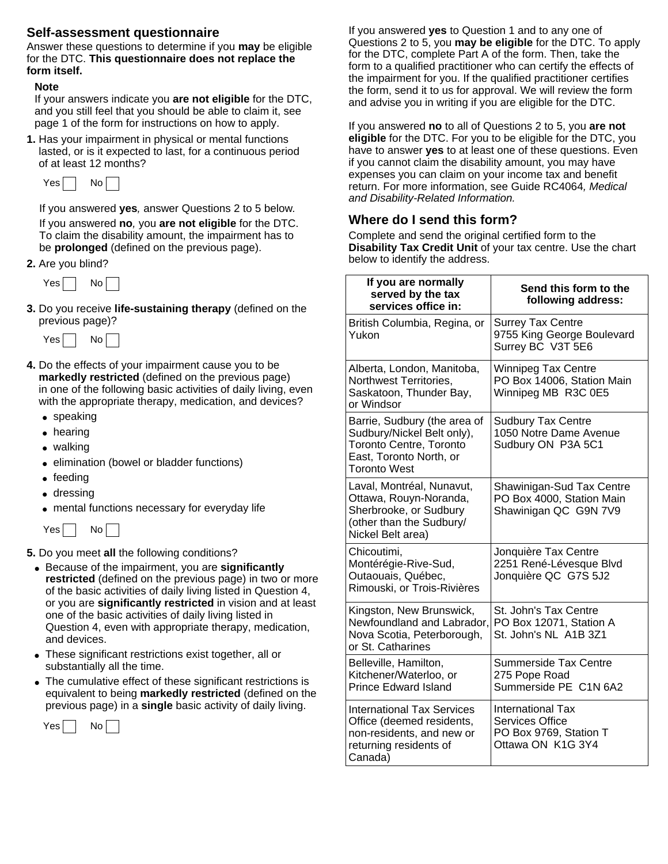## **Self-assessment questionnaire**

Answer these questions to determine if you **may** be eligible for the DTC. **This questionnaire does not replace the form itself.**

#### **Note**

If your answers indicate you **are not eligible** for the DTC, and you still feel that you should be able to claim it, see page 1 of the form for instructions on how to apply.

**1.** Has your impairment in physical or mental functions lasted, or is it expected to last, for a continuous period of at least 12 months?



If you answered **yes***,* answer Questions 2 to 5 below*.*

If you answered **no***,* you **are not eligible** for the DTC. To claim the disability amount, the impairment has to be **prolonged** (defined on the previous page).

**2.** Are you blind?



**3.** Do you receive **life-sustaining therapy** (defined on the previous page)?



- **4.** Do the effects of your impairment cause you to be **markedly restricted** (defined on the previous page) in one of the following basic activities of daily living, even with the appropriate therapy, medication, and devices?
	- speaking
	- hearing
	- walking
	- elimination (bowel or bladder functions)
	- feeding
	- dressing
	- mental functions necessary for everyday life



**5.** Do you meet **all** the following conditions?

- Because of the impairment, you are **significantly restricted** (defined on the previous page) in two or more of the basic activities of daily living listed in Question 4, or you are **significantly restricted** in vision and at least one of the basic activities of daily living listed in Question 4, even with appropriate therapy, medication, and devices.
- These significant restrictions exist together, all or substantially all the time.
- The cumulative effect of these significant restrictions is equivalent to being **markedly restricted** (defined on the previous page) in a **single** basic activity of daily living.



If you answered **yes** to Question 1 and to any one of Questions 2 to 5, you **may be eligible** for the DTC. To apply for the DTC, complete Part A of the form. Then, take the form to a qualified practitioner who can certify the effects of the impairment for you. If the qualified practitioner certifies the form, send it to us for approval. We will review the form and advise you in writing if you are eligible for the DTC.

If you answered **no** to all of Questions 2 to 5, you **are not eligible** for the DTC. For you to be eligible for the DTC, you have to answer **yes** to at least one of these questions. Even if you cannot claim the disability amount, you may have expenses you can claim on your income tax and benefit return. For more information, see Guide RC4064*, Medical and Disability-Related Information.*

## **Where do I send this form?**

Complete and send the original certified form to the **Disability Tax Credit Unit** of your tax centre. Use the chart below to identify the address.

| If you are normally<br>served by the tax<br>services office in:                                                                                | Send this form to the<br>following address:                                                       |
|------------------------------------------------------------------------------------------------------------------------------------------------|---------------------------------------------------------------------------------------------------|
| British Columbia, Regina, or<br>Yukon                                                                                                          | <b>Surrey Tax Centre</b><br>9755 King George Boulevard<br>Surrey BC V3T 5E6                       |
| Alberta, London, Manitoba,<br>Northwest Territories,<br>Saskatoon, Thunder Bay,<br>or Windsor                                                  | <b>Winnipeg Tax Centre</b><br>PO Box 14006, Station Main<br>Winnipeg MB R3C 0E5                   |
| Barrie, Sudbury (the area of<br>Sudbury/Nickel Belt only),<br><b>Toronto Centre, Toronto</b><br>East, Toronto North, or<br><b>Toronto West</b> | <b>Sudbury Tax Centre</b><br>1050 Notre Dame Avenue<br>Sudbury ON P3A 5C1                         |
| Laval, Montréal, Nunavut,<br>Ottawa, Rouyn-Noranda,<br>Sherbrooke, or Sudbury<br>(other than the Sudbury/<br>Nickel Belt area)                 | Shawinigan-Sud Tax Centre<br>PO Box 4000, Station Main<br>Shawinigan QC G9N 7V9                   |
| Chicoutimi,<br>Montérégie-Rive-Sud,<br>Outaouais, Québec,<br>Rimouski, or Trois-Rivières                                                       | Jonquière Tax Centre<br>2251 René-Lévesque Blvd<br>Jonquière QC G7S 5J2                           |
| Kingston, New Brunswick,<br>Newfoundland and Labrador,<br>Nova Scotia, Peterborough,<br>or St. Catharines                                      | St. John's Tax Centre<br>PO Box 12071, Station A<br>St. John's NL A1B 3Z1                         |
| Belleville, Hamilton,<br>Kitchener/Waterloo, or<br><b>Prince Edward Island</b>                                                                 | Summerside Tax Centre<br>275 Pope Road<br>Summerside PE C1N 6A2                                   |
| <b>International Tax Services</b><br>Office (deemed residents,<br>non-residents, and new or<br>returning residents of<br>Canada)               | <b>International Tax</b><br><b>Services Office</b><br>PO Box 9769, Station T<br>Ottawa ON K1G 3Y4 |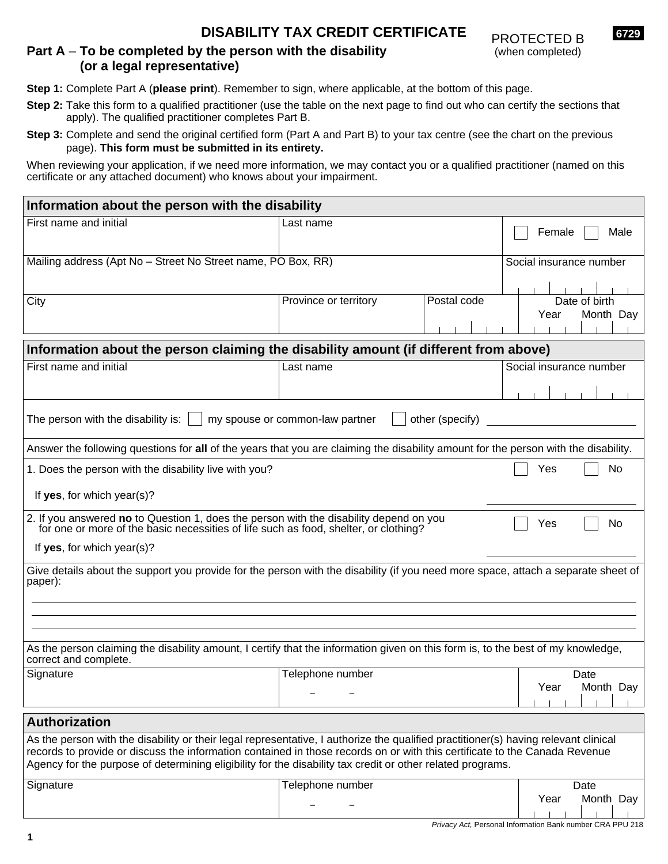## **DISABILITY TAX CREDIT CERTIFICATE**



## **Part A** – **To be completed by the person with the disability (or a legal representative)**

**Step 1:** Complete Part A (**please print**). Remember to sign, where applicable, at the bottom of this page.

- **Step 2:** Take this form to a qualified practitioner (use the table on the next page to find out who can certify the sections that apply). The qualified practitioner completes Part B.
- **Step 3:** Complete and send the original certified form (Part A and Part B) to your tax centre (see the chart on the previous page). **This form must be submitted in its entirety.**

When reviewing your application, if we need more information, we may contact you or a qualified practitioner (named on this certificate or any attached document) who knows about your impairment.

| Information about the person with the disability                                                                                                                                                                                                                                                                                                                                |                                 |                 |                                    |
|---------------------------------------------------------------------------------------------------------------------------------------------------------------------------------------------------------------------------------------------------------------------------------------------------------------------------------------------------------------------------------|---------------------------------|-----------------|------------------------------------|
| First name and initial                                                                                                                                                                                                                                                                                                                                                          | Last name                       |                 | Female<br>Male                     |
| Mailing address (Apt No - Street No Street name, PO Box, RR)                                                                                                                                                                                                                                                                                                                    |                                 |                 | Social insurance number            |
| City                                                                                                                                                                                                                                                                                                                                                                            | Province or territory           | Postal code     | Date of birth<br>Month Day<br>Year |
| Information about the person claiming the disability amount (if different from above)                                                                                                                                                                                                                                                                                           |                                 |                 |                                    |
| First name and initial                                                                                                                                                                                                                                                                                                                                                          | Last name                       |                 | Social insurance number            |
| The person with the disability is:                                                                                                                                                                                                                                                                                                                                              | my spouse or common-law partner | other (specify) |                                    |
| Answer the following questions for all of the years that you are claiming the disability amount for the person with the disability.                                                                                                                                                                                                                                             |                                 |                 |                                    |
| 1. Does the person with the disability live with you?<br>If yes, for which year(s)?                                                                                                                                                                                                                                                                                             |                                 |                 | No<br>Yes                          |
| 2. If you answered no to Question 1, does the person with the disability depend on you<br>for one or more of the basic necessities of life such as food, shelter, or clothing?<br>If yes, for which year(s)?                                                                                                                                                                    |                                 |                 | No<br>Yes                          |
| Give details about the support you provide for the person with the disability (if you need more space, attach a separate sheet of<br>paper):                                                                                                                                                                                                                                    |                                 |                 |                                    |
| As the person claiming the disability amount, I certify that the information given on this form is, to the best of my knowledge,<br>correct and complete.                                                                                                                                                                                                                       |                                 |                 |                                    |
| Signature                                                                                                                                                                                                                                                                                                                                                                       | Telephone number                |                 | Date<br>Year<br>Month Day          |
| <b>Authorization</b>                                                                                                                                                                                                                                                                                                                                                            |                                 |                 |                                    |
| As the person with the disability or their legal representative, I authorize the qualified practitioner(s) having relevant clinical<br>records to provide or discuss the information contained in those records on or with this certificate to the Canada Revenue<br>Agency for the purpose of determining eligibility for the disability tax credit or other related programs. |                                 |                 |                                    |
| Signature                                                                                                                                                                                                                                                                                                                                                                       | Telephone number                |                 | Date<br>Month Day<br>Year          |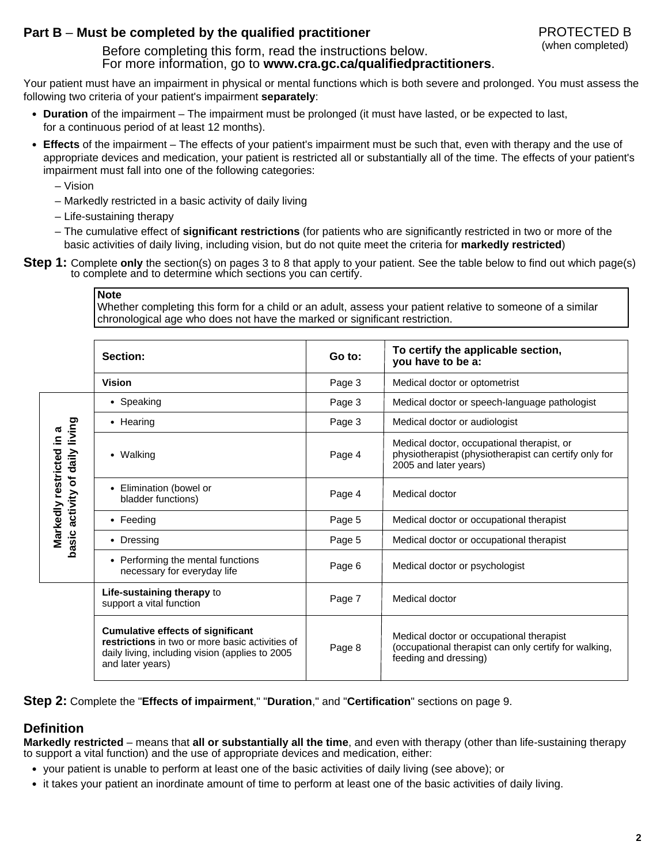## **Part B** – **Must be completed by the qualified practitioner**

PROTECTED B (when completed)

#### Before completing this form, read the instructions below. For more information, go to **www.cra.gc.ca/qualifiedpractitioners**.

Your patient must have an impairment in physical or mental functions which is both severe and prolonged. You must assess the following two criteria of your patient's impairment **separately**:

- **Duration** of the impairment The impairment must be prolonged (it must have lasted, or be expected to last, for a continuous period of at least 12 months).
- **Effects** of the impairment The effects of your patient's impairment must be such that, even with therapy and the use of appropriate devices and medication, your patient is restricted all or substantially all of the time. The effects of your patient's impairment must fall into one of the following categories:
	- Vision
	- Markedly restricted in a basic activity of daily living
	- Life-sustaining therapy
	- The cumulative effect of **significant restrictions** (for patients who are significantly restricted in two or more of the basic activities of daily living, including vision, but do not quite meet the criteria for **markedly restricted**)
- **Step 1:** Complete **only** the section(s) on pages 3 to 8 that apply to your patient. See the table below to find out which page(s) to complete and to determine which sections you can certify.

#### **Note**

Whether completing this form for a child or an adult, assess your patient relative to someone of a similar chronological age who does not have the marked or significant restriction.

|                                    | Section:                                                                                                                                                           | Go to: | To certify the applicable section,<br>you have to be a:                                                                      |
|------------------------------------|--------------------------------------------------------------------------------------------------------------------------------------------------------------------|--------|------------------------------------------------------------------------------------------------------------------------------|
|                                    | <b>Vision</b>                                                                                                                                                      | Page 3 | Medical doctor or optometrist                                                                                                |
|                                    | • Speaking                                                                                                                                                         | Page 3 | Medical doctor or speech-language pathologist                                                                                |
| living                             | • Hearing                                                                                                                                                          | Page 3 | Medical doctor or audiologist                                                                                                |
| ნ<br>⊇.<br>daily                   | • Walking                                                                                                                                                          | Page 4 | Medical doctor, occupational therapist, or<br>physiotherapist (physiotherapist can certify only for<br>2005 and later years) |
| Markedly restricted<br>activity of | • Elimination (bowel or<br>bladder functions)                                                                                                                      | Page 4 | Medical doctor                                                                                                               |
|                                    | $\bullet$ Feeding                                                                                                                                                  | Page 5 | Medical doctor or occupational therapist                                                                                     |
| basic                              | • Dressing                                                                                                                                                         | Page 5 | Medical doctor or occupational therapist                                                                                     |
|                                    | • Performing the mental functions<br>necessary for everyday life                                                                                                   | Page 6 | Medical doctor or psychologist                                                                                               |
|                                    | Life-sustaining therapy to<br>support a vital function                                                                                                             | Page 7 | Medical doctor                                                                                                               |
|                                    | <b>Cumulative effects of significant</b><br>restrictions in two or more basic activities of<br>daily living, including vision (applies to 2005<br>and later years) | Page 8 | Medical doctor or occupational therapist<br>(occupational therapist can only certify for walking,<br>feeding and dressing)   |

**Step 2:** Complete the "**Effects of impairment**," "**Duration**," and "**Certification**" sections on page 9.

## **Definition**

**Markedly restricted** – means that **all or substantially all the time**, and even with therapy (other than life-sustaining therapy to support a vital function) and the use of appropriate devices and medication, either:

- your patient is unable to perform at least one of the basic activities of daily living (see above); or
- it takes your patient an inordinate amount of time to perform at least one of the basic activities of daily living.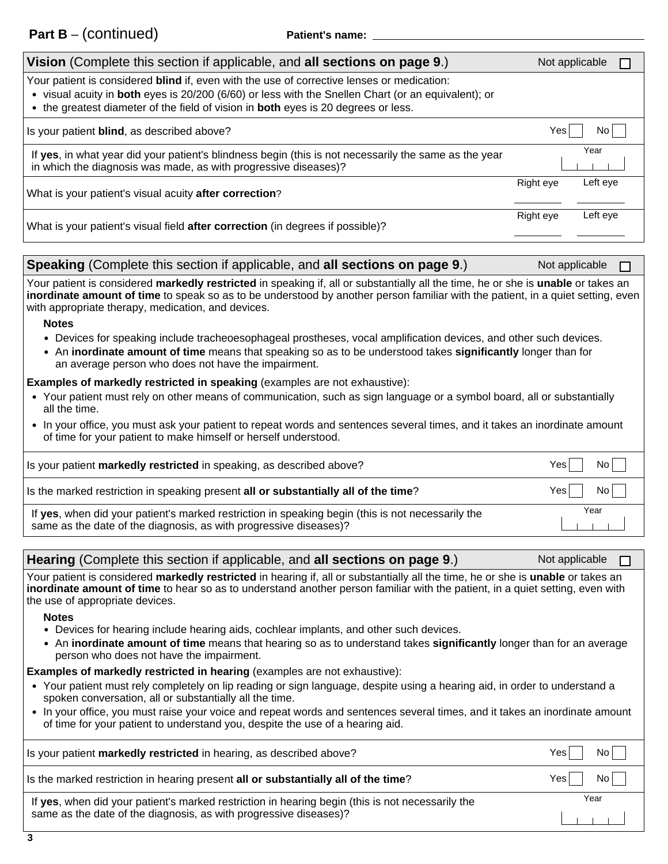| Vision (Complete this section if applicable, and all sections on page 9.)                                                                                                                                                                                                                      | Not applicable |          |  |
|------------------------------------------------------------------------------------------------------------------------------------------------------------------------------------------------------------------------------------------------------------------------------------------------|----------------|----------|--|
| Your patient is considered blind if, even with the use of corrective lenses or medication:<br>• visual acuity in both eyes is 20/200 (6/60) or less with the Snellen Chart (or an equivalent); or<br>• the greatest diameter of the field of vision in <b>both</b> eyes is 20 degrees or less. |                |          |  |
| Is your patient <b>blind</b> , as described above?                                                                                                                                                                                                                                             | Yes            | No.      |  |
| If yes, in what year did your patient's blindness begin (this is not necessarily the same as the year<br>in which the diagnosis was made, as with progressive diseases)?                                                                                                                       |                | Year     |  |
| What is your patient's visual acuity after correction?                                                                                                                                                                                                                                         | Right eye      | Left eve |  |
| What is your patient's visual field after correction (in degrees if possible)?                                                                                                                                                                                                                 | Right eye      | Left eve |  |

| Speaking (Complete this section if applicable, and all sections on page 9.) | Not applicable |  |
|-----------------------------------------------------------------------------|----------------|--|
|-----------------------------------------------------------------------------|----------------|--|

Your patient is considered **markedly restricted** in speaking if, all or substantially all the time, he or she is **unable** or takes an **inordinate amount of time** to speak so as to be understood by another person familiar with the patient, in a quiet setting, even with appropriate therapy, medication, and devices.

#### **Notes**

- Devices for speaking include tracheoesophageal prostheses, vocal amplification devices, and other such devices.
- An **inordinate amount of time** means that speaking so as to be understood takes **significantly** longer than for an average person who does not have the impairment.

#### **Examples of markedly restricted in speaking (examples are not exhaustive):**

- Your patient must rely on other means of communication, such as sign language or a symbol board, all or substantially all the time.
- In your office, you must ask your patient to repeat words and sentences several times, and it takes an inordinate amount of time for your patient to make himself or herself understood.

| Is your patient markedly restricted in speaking, as described above?                                                                                                   | No l<br>Yesl |
|------------------------------------------------------------------------------------------------------------------------------------------------------------------------|--------------|
| Is the marked restriction in speaking present all or substantially all of the time?                                                                                    | Nol<br>Yes I |
| If yes, when did your patient's marked restriction in speaking begin (this is not necessarily the<br>same as the date of the diagnosis, as with progressive diseases)? | Year         |

| Hearing (Complete this section if applicable, and all sections on page 9.) | Not applicable $\Box$ |
|----------------------------------------------------------------------------|-----------------------|
|                                                                            |                       |

Your patient is considered **markedly restricted** in hearing if, all or substantially all the time, he or she is **unable** or takes an **inordinate amount of time** to hear so as to understand another person familiar with the patient, in a quiet setting, even with the use of appropriate devices.

#### **Notes**

- Devices for hearing include hearing aids, cochlear implants, and other such devices.
- An **inordinate amount of time** means that hearing so as to understand takes **significantly** longer than for an average person who does not have the impairment.

#### **Examples of markedly restricted in hearing (examples are not exhaustive):**

- Your patient must rely completely on lip reading or sign language, despite using a hearing aid, in order to understand a spoken conversation, all or substantially all the time.
- In your office, you must raise your voice and repeat words and sentences several times, and it takes an inordinate amount of time for your patient to understand you, despite the use of a hearing aid.

| Is your patient markedly restricted in hearing, as described above?                              | No l<br>Yesl   |
|--------------------------------------------------------------------------------------------------|----------------|
| Is the marked restriction in hearing present all or substantially all of the time?               | No  <br>Yes II |
| If yes, when did your patient's marked restriction in hearing begin (this is not necessarily the | Year           |
| same as the date of the diagnosis, as with progressive diseases)?                                |                |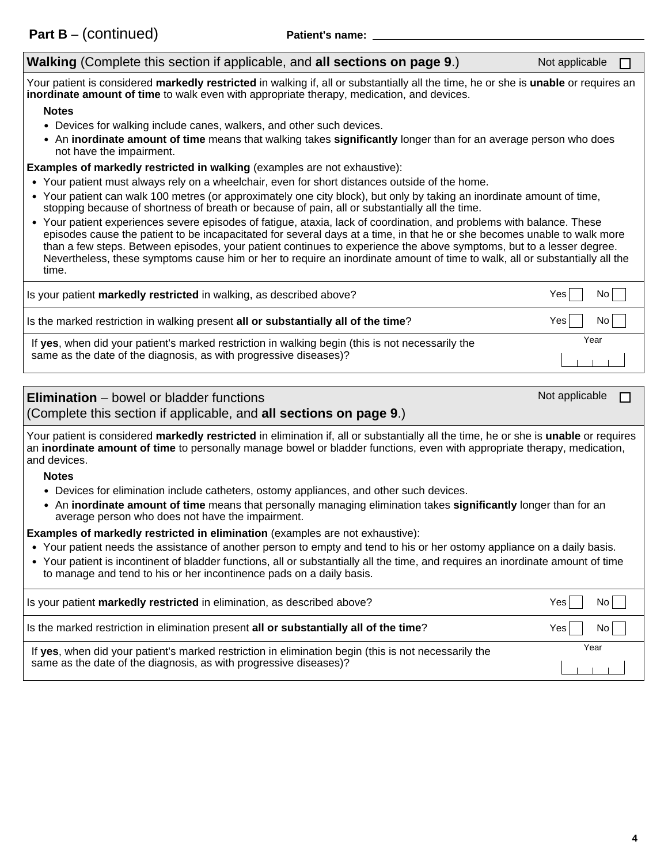#### **Walking** (Complete this section if applicable, and **all sections on page 9**.) Not applicable

Your patient is considered **markedly restricted** in walking if, all or substantially all the time, he or she is **unable** or requires an **inordinate amount of time** to walk even with appropriate therapy, medication, and devices.

#### **Notes**

- Devices for walking include canes, walkers, and other such devices.
- An **inordinate amount of time** means that walking takes **significantly** longer than for an average person who does not have the impairment.

**Examples of markedly restricted in walking** (examples are not exhaustive):

- Your patient must always rely on a wheelchair, even for short distances outside of the home.
- Your patient can walk 100 metres (or approximately one city block), but only by taking an inordinate amount of time, stopping because of shortness of breath or because of pain, all or substantially all the time.
- Your patient experiences severe episodes of fatigue, ataxia, lack of coordination, and problems with balance. These episodes cause the patient to be incapacitated for several days at a time, in that he or she becomes unable to walk more than a few steps. Between episodes, your patient continues to experience the above symptoms, but to a lesser degree. Nevertheless, these symptoms cause him or her to require an inordinate amount of time to walk, all or substantially all the time.

| Is your patient <b>markedly restricted</b> in walking, as described above?                       | No l<br>Yesl |
|--------------------------------------------------------------------------------------------------|--------------|
| Is the marked restriction in walking present all or substantially all of the time?               | Yesl<br>No l |
| If yes, when did your patient's marked restriction in walking begin (this is not necessarily the | Year         |
| same as the date of the diagnosis, as with progressive diseases)?                                |              |

| <b>Elimination</b> – bowel or bladder functions<br>(Complete this section if applicable, and all sections on page 9.)                                                                                                                                                                                                                               | Not applicable |  |
|-----------------------------------------------------------------------------------------------------------------------------------------------------------------------------------------------------------------------------------------------------------------------------------------------------------------------------------------------------|----------------|--|
| Your patient is considered markedly restricted in elimination if, all or substantially all the time, he or she is unable or requires<br>an inordinate amount of time to personally manage bowel or bladder functions, even with appropriate therapy, medication,<br>and devices.                                                                    |                |  |
| <b>Notes</b><br>• Devices for elimination include catheters, ostomy appliances, and other such devices.<br>• An inordinate amount of time means that personally managing elimination takes significantly longer than for an<br>average person who does not have the impairment.                                                                     |                |  |
| <b>Examples of markedly restricted in elimination</b> (examples are not exhaustive):<br>• Your patient needs the assistance of another person to empty and tend to his or her ostomy appliance on a daily basis.<br>e Your patient is incontinent of bladder functions, all or substantially all the time and requires an inordinate amount of time |                |  |

 $\bullet$  Your patient is incontinent of bladder functions, all or substantially all the time, and requires an inordinate amount of time to manage and tend to his or her incontinence pads on a daily basis.

| Is your patient markedly restricted in elimination, as described above?                              | No l<br>Yesl |
|------------------------------------------------------------------------------------------------------|--------------|
| Is the marked restriction in elimination present all or substantially all of the time?               | No l<br>Yesl |
| If yes, when did your patient's marked restriction in elimination begin (this is not necessarily the | Year         |
| same as the date of the diagnosis, as with progressive diseases)?                                    |              |

П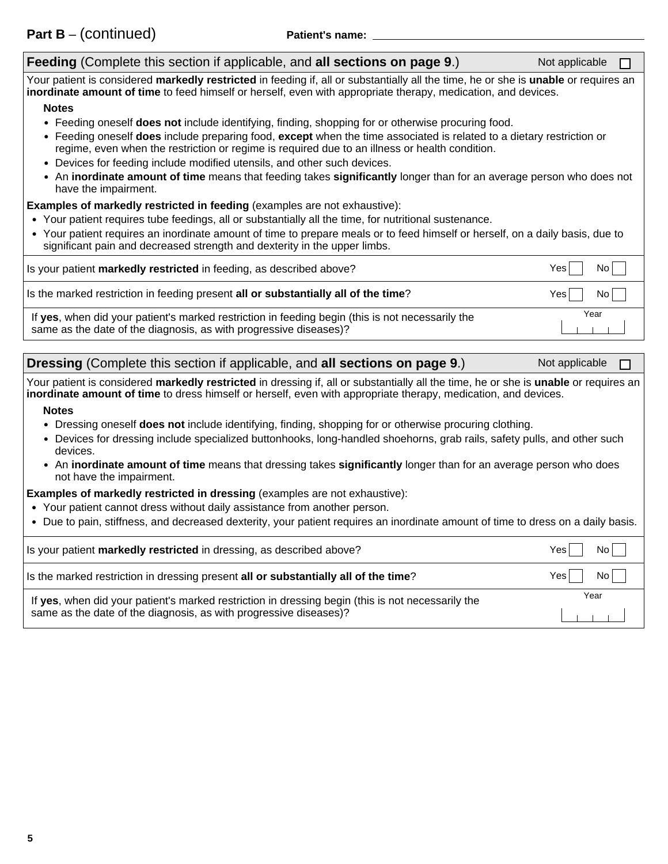| Feeding (Complete this section if applicable, and all sections on page 9.)                                                                                                                                                                             | Not applicable |
|--------------------------------------------------------------------------------------------------------------------------------------------------------------------------------------------------------------------------------------------------------|----------------|
| Your patient is considered markedly restricted in feeding if, all or substantially all the time, he or she is unable or requires an<br>inordinate amount of time to feed himself or herself, even with appropriate therapy, medication, and devices.   |                |
| <b>Notes</b>                                                                                                                                                                                                                                           |                |
| • Feeding oneself does not include identifying, finding, shopping for or otherwise procuring food.                                                                                                                                                     |                |
| • Feeding oneself does include preparing food, except when the time associated is related to a dietary restriction or<br>regime, even when the restriction or regime is required due to an illness or health condition.                                |                |
| • Devices for feeding include modified utensils, and other such devices.                                                                                                                                                                               |                |
| • An inordinate amount of time means that feeding takes significantly longer than for an average person who does not<br>have the impairment.                                                                                                           |                |
| <b>Examples of markedly restricted in feeding (examples are not exhaustive):</b>                                                                                                                                                                       |                |
| • Your patient requires tube feedings, all or substantially all the time, for nutritional sustenance.                                                                                                                                                  |                |
| • Your patient requires an inordinate amount of time to prepare meals or to feed himself or herself, on a daily basis, due to<br>significant pain and decreased strength and dexterity in the upper limbs.                                             |                |
| Is your patient markedly restricted in feeding, as described above?                                                                                                                                                                                    | Yes<br>No      |
| Is the marked restriction in feeding present all or substantially all of the time?                                                                                                                                                                     | Yes<br>No      |
| If yes, when did your patient's marked restriction in feeding begin (this is not necessarily the<br>same as the date of the diagnosis, as with progressive diseases)?                                                                                  | Year           |
| <b>Dressing (Complete this section if applicable, and all sections on page 9.)</b>                                                                                                                                                                     | Not applicable |
| Your patient is considered markedly restricted in dressing if, all or substantially all the time, he or she is unable or requires an<br>inordinate amount of time to dress himself or herself, even with appropriate therapy, medication, and devices. |                |
| <b>Notes</b>                                                                                                                                                                                                                                           |                |
| • Dressing oneself does not include identifying, finding, shopping for or otherwise procuring clothing.                                                                                                                                                |                |
| • Devices for dressing include specialized buttonhooks, long-handled shoehorns, grab rails, safety pulls, and other such<br>devices.                                                                                                                   |                |
| • An inordinate amount of time means that dressing takes significantly longer than for an average person who does<br>not have the impairment.                                                                                                          |                |
|                                                                                                                                                                                                                                                        |                |

**Examples of markedly restricted in dressing** (examples are not exhaustive):

- Your patient cannot dress without daily assistance from another person.
- Due to pain, stiffness, and decreased dexterity, your patient requires an inordinate amount of time to dress on a daily basis.

| Is your patient <b>markedly restricted</b> in dressing, as described above?                       | No.<br>Yes. |
|---------------------------------------------------------------------------------------------------|-------------|
| Is the marked restriction in dressing present all or substantially all of the time?               | No<br>Yes   |
| If yes, when did your patient's marked restriction in dressing begin (this is not necessarily the | Year        |
| same as the date of the diagnosis, as with progressive diseases)?                                 |             |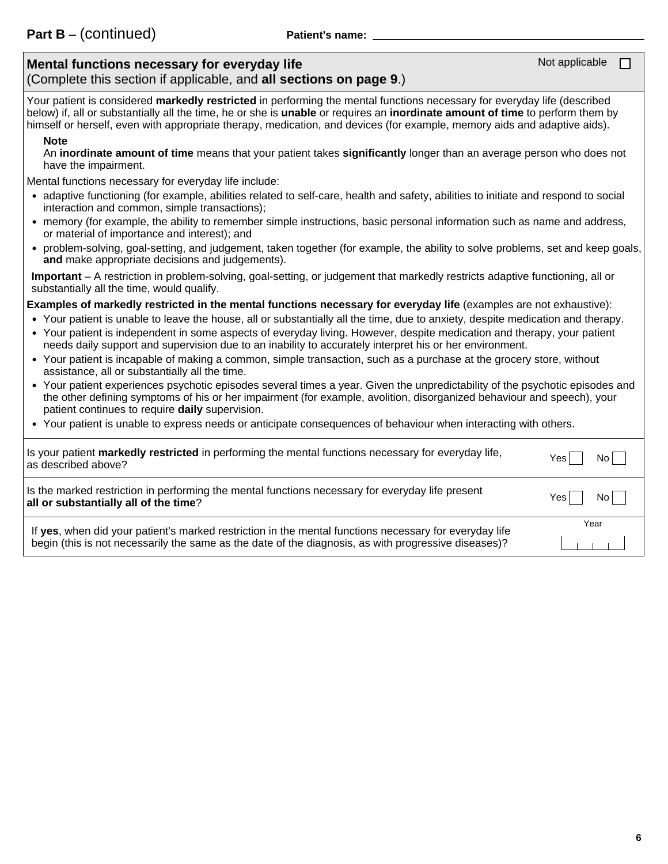## **Mental functions necessary for everyday life**

(Complete this section if applicable, and **all sections on page 9**.)

Your patient is considered **markedly restricted** in performing the mental functions necessary for everyday life (described below) if, all or substantially all the time, he or she is **unable** or requires an **inordinate amount of time** to perform them by himself or herself, even with appropriate therapy, medication, and devices (for example, memory aids and adaptive aids).

#### **Note**

An **inordinate amount of time** means that your patient takes **significantly** longer than an average person who does not have the impairment.

Mental functions necessary for everyday life include:

- adaptive functioning (for example, abilities related to self-care, health and safety, abilities to initiate and respond to social interaction and common, simple transactions);
- memory (for example, the ability to remember simple instructions, basic personal information such as name and address, or material of importance and interest); and
- problem-solving, goal-setting, and judgement, taken together (for example, the ability to solve problems, set and keep goals, **and** make appropriate decisions and judgements).

**Important** – A restriction in problem-solving, goal-setting, or judgement that markedly restricts adaptive functioning, all or substantially all the time, would qualify.

**Examples of markedly restricted in the mental functions necessary for everyday life** (examples are not exhaustive):

- Your patient is unable to leave the house, all or substantially all the time, due to anxiety, despite medication and therapy.
- Your patient is independent in some aspects of everyday living. However, despite medication and therapy, your patient needs daily support and supervision due to an inability to accurately interpret his or her environment.
- - Your patient is incapable of making a common, simple transaction, such as a purchase at the grocery store, without assistance, all or substantially all the time.
- - Your patient experiences psychotic episodes several times a year. Given the unpredictability of the psychotic episodes and the other defining symptoms of his or her impairment (for example, avolition, disorganized behaviour and speech), your patient continues to require **daily** supervision.
- Your patient is unable to express needs or anticipate consequences of behaviour when interacting with others.

| Is your patient markedly restricted in performing the mental functions necessary for everyday life,                                                                                                            | No l |
|----------------------------------------------------------------------------------------------------------------------------------------------------------------------------------------------------------------|------|
| as described above?                                                                                                                                                                                            | Yes  |
| Is the marked restriction in performing the mental functions necessary for everyday life present                                                                                                               | No I |
| all or substantially all of the time?                                                                                                                                                                          | Yes  |
| If yes, when did your patient's marked restriction in the mental functions necessary for everyday life<br>begin (this is not necessarily the same as the date of the diagnosis, as with progressive diseases)? | Year |

Not applicable

 $\Box$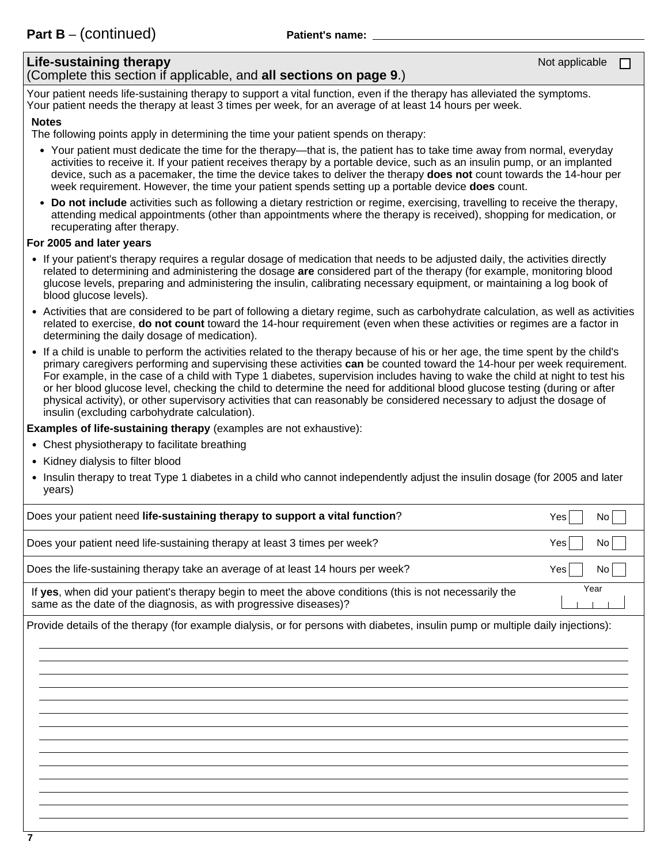# **Life-sustaining therapy**

## (Complete this section if applicable, and **all sections on page 9**.)

Your patient needs life-sustaining therapy to support a vital function, even if the therapy has alleviated the symptoms. Your patient needs the therapy at least 3 times per week, for an average of at least 14 hours per week.

#### **Notes**

The following points apply in determining the time your patient spends on therapy:

- Your patient must dedicate the time for the therapy—that is, the patient has to take time away from normal, everyday activities to receive it. If your patient receives therapy by a portable device, such as an insulin pump, or an implanted device, such as a pacemaker, the time the device takes to deliver the therapy **does not** count towards the 14-hour per week requirement. However, the time your patient spends setting up a portable device **does** count.
- **Do not include** activities such as following a dietary restriction or regime, exercising, travelling to receive the therapy, attending medical appointments (other than appointments where the therapy is received), shopping for medication, or recuperating after therapy.

#### **For 2005 and later years**

- If your patient's therapy requires a regular dosage of medication that needs to be adjusted daily, the activities directly related to determining and administering the dosage **are** considered part of the therapy (for example, monitoring blood glucose levels, preparing and administering the insulin, calibrating necessary equipment, or maintaining a log book of blood glucose levels).
- Activities that are considered to be part of following a dietary regime, such as carbohydrate calculation, as well as activities related to exercise, **do not count** toward the 14-hour requirement (even when these activities or regimes are a factor in determining the daily dosage of medication).
- If a child is unable to perform the activities related to the therapy because of his or her age, the time spent by the child's primary caregivers performing and supervising these activities **can** be counted toward the 14-hour per week requirement. For example, in the case of a child with Type 1 diabetes, supervision includes having to wake the child at night to test his or her blood glucose level, checking the child to determine the need for additional blood glucose testing (during or after physical activity), or other supervisory activities that can reasonably be considered necessary to adjust the dosage of insulin (excluding carbohydrate calculation).

**Examples of life-sustaining therapy** (examples are not exhaustive):

- Chest physiotherapy to facilitate breathing
- Kidney dialysis to filter blood
- Insulin therapy to treat Type 1 diabetes in a child who cannot independently adjust the insulin dosage (for 2005 and later years)

| Does your patient need life-sustaining therapy to support a vital function?                                                                                                  | Yes<br>No              |
|------------------------------------------------------------------------------------------------------------------------------------------------------------------------------|------------------------|
| Does your patient need life-sustaining therapy at least 3 times per week?                                                                                                    | Yes<br>No l            |
| Does the life-sustaining therapy take an average of at least 14 hours per week?                                                                                              | Yes<br>No <sub>1</sub> |
| If yes, when did your patient's therapy begin to meet the above conditions (this is not necessarily the<br>same as the date of the diagnosis, as with progressive diseases)? | Year                   |
| Provide details of the therapy (for example dialysis, or for persons with diabetes, insulin pump or multiple daily injections):                                              |                        |
|                                                                                                                                                                              |                        |
|                                                                                                                                                                              |                        |
|                                                                                                                                                                              |                        |
|                                                                                                                                                                              |                        |
|                                                                                                                                                                              |                        |
|                                                                                                                                                                              |                        |
|                                                                                                                                                                              |                        |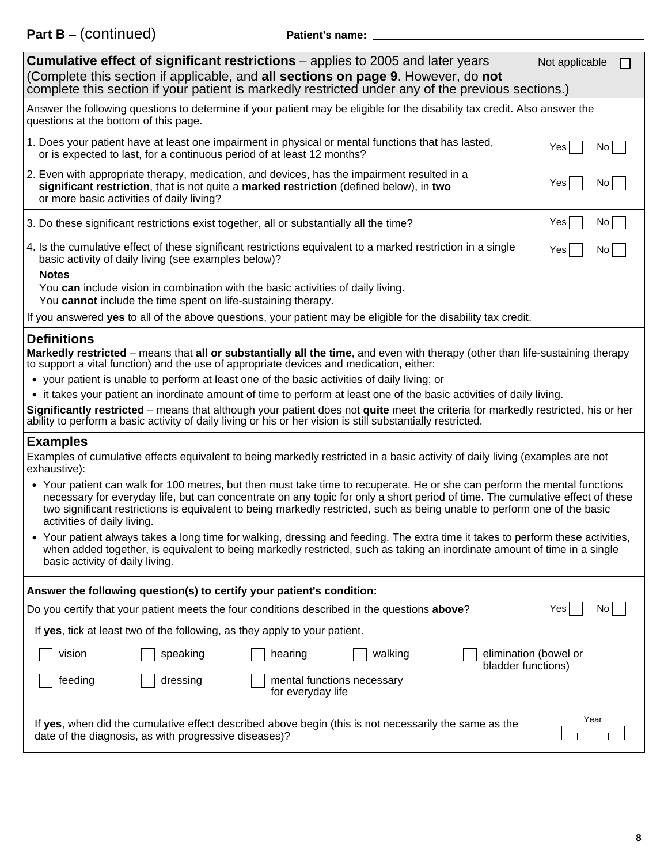**Part B** – (continued) **Patient's name:**

| <b>Cumulative effect of significant restrictions</b> – applies to 2005 and later years<br>Not applicable<br>(Complete this section if applicable, and all sections on page 9. However, do not<br>complete this section if your patient is markedly restricted under any of the previous sections.)                                                                                                                     |  |  |  |
|------------------------------------------------------------------------------------------------------------------------------------------------------------------------------------------------------------------------------------------------------------------------------------------------------------------------------------------------------------------------------------------------------------------------|--|--|--|
| Answer the following questions to determine if your patient may be eligible for the disability tax credit. Also answer the<br>questions at the bottom of this page.                                                                                                                                                                                                                                                    |  |  |  |
| 1. Does your patient have at least one impairment in physical or mental functions that has lasted,<br>Yes<br>No<br>or is expected to last, for a continuous period of at least 12 months?                                                                                                                                                                                                                              |  |  |  |
| 2. Even with appropriate therapy, medication, and devices, has the impairment resulted in a<br>Yes<br>No.<br>significant restriction, that is not quite a marked restriction (defined below), in two<br>or more basic activities of daily living?                                                                                                                                                                      |  |  |  |
| Yes<br>No.<br>3. Do these significant restrictions exist together, all or substantially all the time?                                                                                                                                                                                                                                                                                                                  |  |  |  |
| 4. Is the cumulative effect of these significant restrictions equivalent to a marked restriction in a single<br>Yes<br>No<br>basic activity of daily living (see examples below)?                                                                                                                                                                                                                                      |  |  |  |
| <b>Notes</b><br>You can include vision in combination with the basic activities of daily living.                                                                                                                                                                                                                                                                                                                       |  |  |  |
| You cannot include the time spent on life-sustaining therapy.                                                                                                                                                                                                                                                                                                                                                          |  |  |  |
| If you answered yes to all of the above questions, your patient may be eligible for the disability tax credit.                                                                                                                                                                                                                                                                                                         |  |  |  |
| <b>Definitions</b>                                                                                                                                                                                                                                                                                                                                                                                                     |  |  |  |
| Markedly restricted – means that all or substantially all the time, and even with therapy (other than life-sustaining therapy<br>to support a vital function) and the use of appropriate devices and medication, either:                                                                                                                                                                                               |  |  |  |
| • your patient is unable to perform at least one of the basic activities of daily living; or                                                                                                                                                                                                                                                                                                                           |  |  |  |
| • it takes your patient an inordinate amount of time to perform at least one of the basic activities of daily living.                                                                                                                                                                                                                                                                                                  |  |  |  |
| Significantly restricted – means that although your patient does not quite meet the criteria for markedly restricted, his or her<br>ability to perform a basic activity of daily living or his or her vision is still substantially restricted.                                                                                                                                                                        |  |  |  |
| <b>Examples</b>                                                                                                                                                                                                                                                                                                                                                                                                        |  |  |  |
| Examples of cumulative effects equivalent to being markedly restricted in a basic activity of daily living (examples are not<br>exhaustive):                                                                                                                                                                                                                                                                           |  |  |  |
| • Your patient can walk for 100 metres, but then must take time to recuperate. He or she can perform the mental functions<br>necessary for everyday life, but can concentrate on any topic for only a short period of time. The cumulative effect of these<br>two significant restrictions is equivalent to being markedly restricted, such as being unable to perform one of the basic<br>activities of daily living. |  |  |  |
| Your patient always takes a long time for walking, dressing and feeding. The extra time it takes to perform these activities,<br>when added together, is equivalent to being markedly restricted, such as taking an inordinate amount of time in a single<br>basic activity of daily living.                                                                                                                           |  |  |  |
| Answer the following question(s) to certify your patient's condition:                                                                                                                                                                                                                                                                                                                                                  |  |  |  |
| Do you certify that your patient meets the four conditions described in the questions above?<br>Yes<br>No.                                                                                                                                                                                                                                                                                                             |  |  |  |
| If yes, tick at least two of the following, as they apply to your patient.                                                                                                                                                                                                                                                                                                                                             |  |  |  |
| elimination (bowel or<br>vision<br>speaking<br>hearing<br>walking<br>bladder functions)                                                                                                                                                                                                                                                                                                                                |  |  |  |
| feeding<br>dressing<br>mental functions necessary<br>for everyday life                                                                                                                                                                                                                                                                                                                                                 |  |  |  |
| Year<br>If yes, when did the cumulative effect described above begin (this is not necessarily the same as the<br>date of the diagnosis, as with progressive diseases)?                                                                                                                                                                                                                                                 |  |  |  |